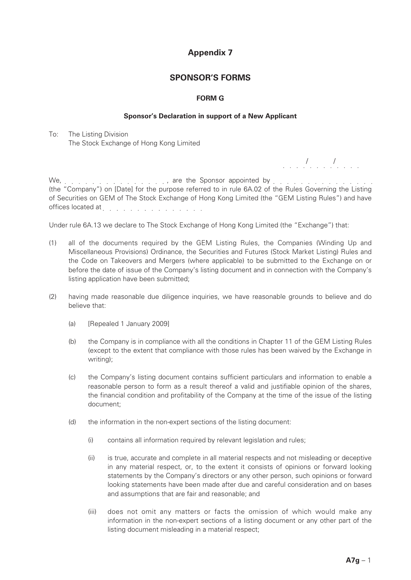# **Appendix 7**

## **SPONSOR'S FORMS**

## **FORM G**

### **Sponsor's Declaration in support of a New Applicant**

To: The Listing Division The Stock Exchange of Hong Kong Limited

*.* . . . *.* . . . *.* . . . .

We, . . . . . . . . . . . . . . . . , are the Sponsor appointed by . . . . . . . . . . . . . . (the "Company") on [Date] for the purpose referred to in rule 6A.02 of the Rules Governing the Listing of Securities on GEM of The Stock Exchange of Hong Kong Limited (the "GEM Listing Rules") and have offices located at end at the set of the set of the set of the set of the set of the set of the set of the set of the set of the set of the set of the set of the set of the set of the set of the set of the set of the set o

Under rule 6A.13 we declare to The Stock Exchange of Hong Kong Limited (the "Exchange") that:

- (1) all of the documents required by the GEM Listing Rules, the Companies (Winding Up and Miscellaneous Provisions) Ordinance, the Securities and Futures (Stock Market Listing) Rules and the Code on Takeovers and Mergers (where applicable) to be submitted to the Exchange on or before the date of issue of the Company's listing document and in connection with the Company's listing application have been submitted;
- (2) having made reasonable due diligence inquiries, we have reasonable grounds to believe and do believe that:
	- (a) [Repealed 1 January 2009]
	- (b) the Company is in compliance with all the conditions in Chapter 11 of the GEM Listing Rules (except to the extent that compliance with those rules has been waived by the Exchange in writing);
	- (c) the Company's listing document contains sufficient particulars and information to enable a reasonable person to form as a result thereof a valid and justifiable opinion of the shares, the financial condition and profitability of the Company at the time of the issue of the listing document;
	- (d) the information in the non-expert sections of the listing document:
		- (i) contains all information required by relevant legislation and rules;
		- (ii) is true, accurate and complete in all material respects and not misleading or deceptive in any material respect, or, to the extent it consists of opinions or forward looking statements by the Company's directors or any other person, such opinions or forward looking statements have been made after due and careful consideration and on bases and assumptions that are fair and reasonable; and
		- (iii) does not omit any matters or facts the omission of which would make any information in the non-expert sections of a listing document or any other part of the listing document misleading in a material respect;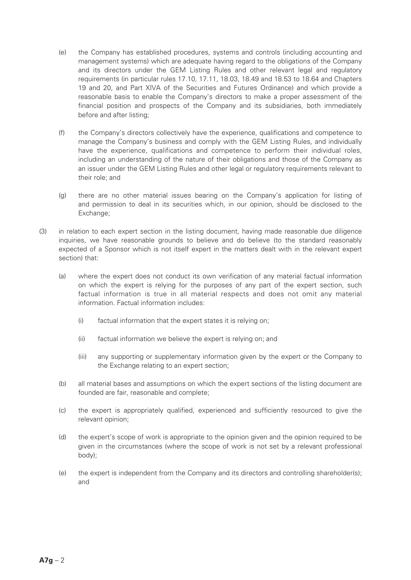- (e) the Company has established procedures, systems and controls (including accounting and management systems) which are adequate having regard to the obligations of the Company and its directors under the GEM Listing Rules and other relevant legal and regulatory requirements (in particular rules 17.10, 17.11, 18.03, 18.49 and 18.53 to 18.64 and Chapters 19 and 20, and Part XIVA of the Securities and Futures Ordinance) and which provide a reasonable basis to enable the Company's directors to make a proper assessment of the financial position and prospects of the Company and its subsidiaries, both immediately before and after listing;
- (f) the Company's directors collectively have the experience, qualifications and competence to manage the Company's business and comply with the GEM Listing Rules, and individually have the experience, qualifications and competence to perform their individual roles, including an understanding of the nature of their obligations and those of the Company as an issuer under the GEM Listing Rules and other legal or regulatory requirements relevant to their role; and
- (g) there are no other material issues bearing on the Company's application for listing of and permission to deal in its securities which, in our opinion, should be disclosed to the Exchange;
- (3) in relation to each expert section in the listing document, having made reasonable due diligence inquiries, we have reasonable grounds to believe and do believe (to the standard reasonably expected of a Sponsor which is not itself expert in the matters dealt with in the relevant expert section) that:
	- (a) where the expert does not conduct its own verification of any material factual information on which the expert is relying for the purposes of any part of the expert section, such factual information is true in all material respects and does not omit any material information. Factual information includes:
		- (i) factual information that the expert states it is relying on;
		- (ii) factual information we believe the expert is relying on; and
		- (iii) any supporting or supplementary information given by the expert or the Company to the Exchange relating to an expert section;
	- (b) all material bases and assumptions on which the expert sections of the listing document are founded are fair, reasonable and complete;
	- (c) the expert is appropriately qualified, experienced and sufficiently resourced to give the relevant opinion;
	- (d) the expert's scope of work is appropriate to the opinion given and the opinion required to be given in the circumstances (where the scope of work is not set by a relevant professional body);
	- (e) the expert is independent from the Company and its directors and controlling shareholder(s); and